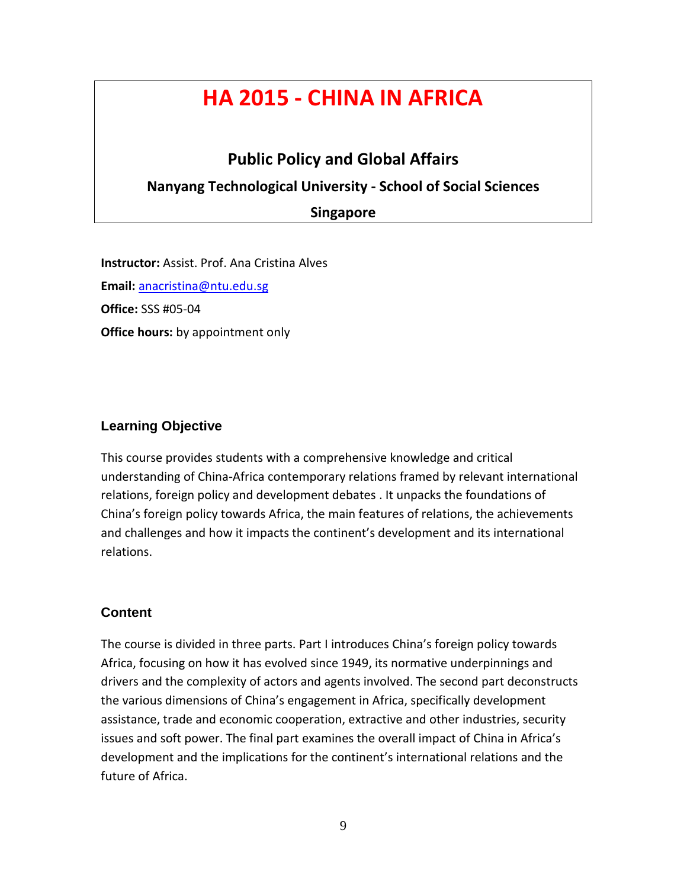# **HA 2015 - CHINA IN AFRICA**

# **Public Policy and Global Affairs**

# **Nanyang Technological University - School of Social Sciences**

**Singapore**

**Instructor:** Assist. Prof. Ana Cristina Alves **Email:** [anacristina@ntu.edu.sg](mailto:anacristina@ntu.edu.sg) **Office:** SSS #05-04 **Office hours:** by appointment only

# **Learning Objective**

This course provides students with a comprehensive knowledge and critical understanding of China-Africa contemporary relations framed by relevant international relations, foreign policy and development debates . It unpacks the foundations of China's foreign policy towards Africa, the main features of relations, the achievements and challenges and how it impacts the continent's development and its international relations.

## **Content**

The course is divided in three parts. Part I introduces China's foreign policy towards Africa, focusing on how it has evolved since 1949, its normative underpinnings and drivers and the complexity of actors and agents involved. The second part deconstructs the various dimensions of China's engagement in Africa, specifically development assistance, trade and economic cooperation, extractive and other industries, security issues and soft power. The final part examines the overall impact of China in Africa's development and the implications for the continent's international relations and the future of Africa.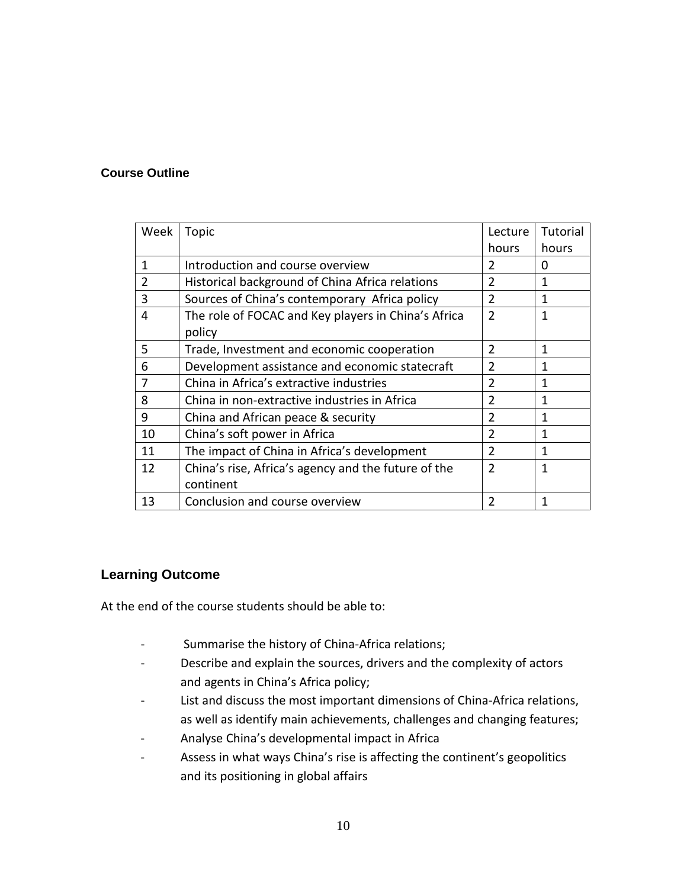## **Course Outline**

| Week           | Topic                                               | Lecture        | Tutorial |
|----------------|-----------------------------------------------------|----------------|----------|
|                |                                                     | hours          | hours    |
| 1              | Introduction and course overview                    | $\overline{2}$ | 0        |
| $\overline{2}$ | Historical background of China Africa relations     | 2              | 1        |
| 3              | Sources of China's contemporary Africa policy       | $\overline{2}$ | 1        |
| 4              | The role of FOCAC and Key players in China's Africa | $\overline{2}$ | 1        |
|                | policy                                              |                |          |
| 5              | Trade, Investment and economic cooperation          | $\overline{2}$ | 1        |
| 6              | Development assistance and economic statecraft      | $\overline{2}$ | 1        |
| 7              | China in Africa's extractive industries             | 2              | 1        |
| 8              | China in non-extractive industries in Africa        | $\overline{2}$ | 1        |
| 9              | China and African peace & security                  | $\mathfrak{p}$ | 1        |
| 10             | China's soft power in Africa                        | $\overline{2}$ | 1        |
| 11             | The impact of China in Africa's development         | $\overline{2}$ | 1        |
| 12             | China's rise, Africa's agency and the future of the | $\overline{2}$ | 1        |
|                | continent                                           |                |          |
| 13             | Conclusion and course overview                      | $\mathfrak z$  | 1        |

## **Learning Outcome**

At the end of the course students should be able to:

- Summarise the history of China-Africa relations;
- Describe and explain the sources, drivers and the complexity of actors and agents in China's Africa policy;
- List and discuss the most important dimensions of China-Africa relations, as well as identify main achievements, challenges and changing features;
- Analyse China's developmental impact in Africa
- Assess in what ways China's rise is affecting the continent's geopolitics and its positioning in global affairs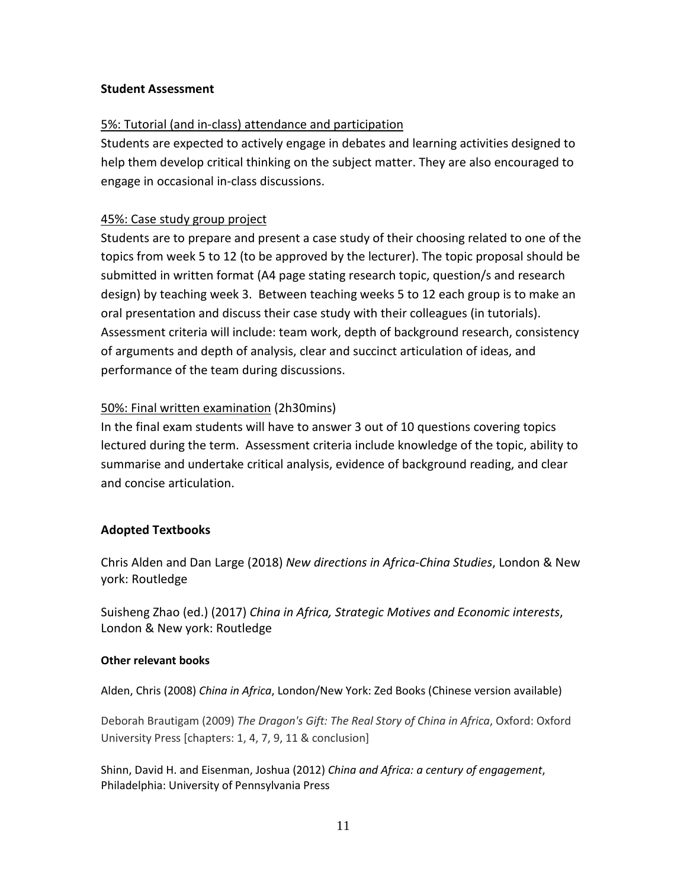## **Student Assessment**

## 5%: Tutorial (and in-class) attendance and participation

Students are expected to actively engage in debates and learning activities designed to help them develop critical thinking on the subject matter. They are also encouraged to engage in occasional in-class discussions.

## 45%: Case study group project

Students are to prepare and present a case study of their choosing related to one of the topics from week 5 to 12 (to be approved by the lecturer). The topic proposal should be submitted in written format (A4 page stating research topic, question/s and research design) by teaching week 3. Between teaching weeks 5 to 12 each group is to make an oral presentation and discuss their case study with their colleagues (in tutorials). Assessment criteria will include: team work, depth of background research, consistency of arguments and depth of analysis, clear and succinct articulation of ideas, and performance of the team during discussions.

## 50%: Final written examination (2h30mins)

In the final exam students will have to answer 3 out of 10 questions covering topics lectured during the term. Assessment criteria include knowledge of the topic, ability to summarise and undertake critical analysis, evidence of background reading, and clear and concise articulation.

## **Adopted Textbooks**

Chris Alden and Dan Large (2018) *New directions in Africa-China Studies*, London & New york: Routledge

Suisheng Zhao (ed.) (2017) *China in Africa, Strategic Motives and Economic interests*, London & New york: Routledge

## **Other relevant books**

Alden, Chris (2008) *China in Africa*, London/New York: Zed Books (Chinese version available)

Deborah Brautigam (2009) *The Dragon's Gift: The Real Story of China in Africa*, Oxford: Oxford University Press [chapters: 1, 4, 7, 9, 11 & conclusion]

Shinn, David H. and Eisenman, Joshua (2012) *China and Africa: a century of engagement*, Philadelphia: University of Pennsylvania Press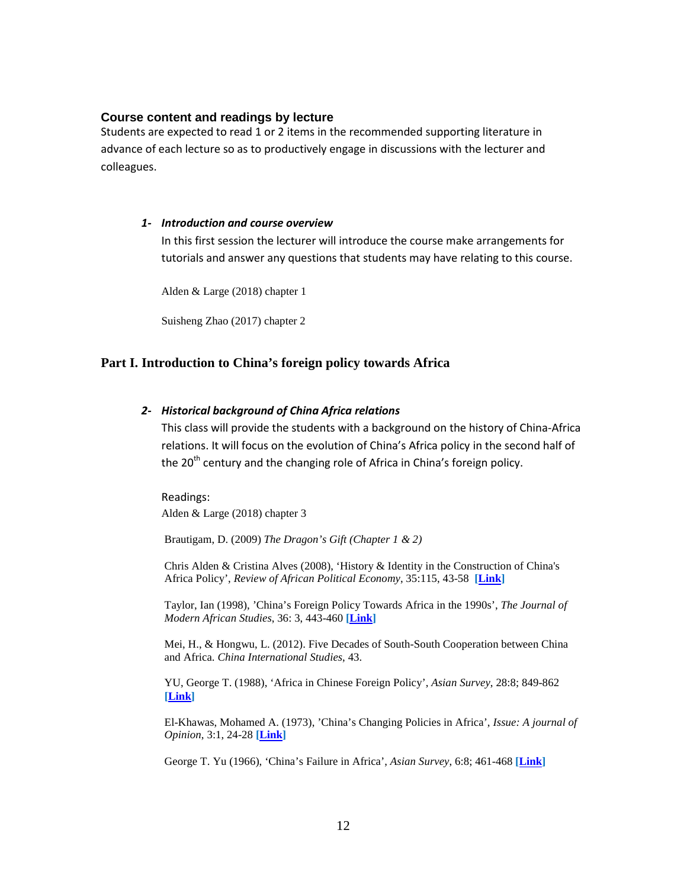#### **Course content and readings by lecture**

Students are expected to read 1 or 2 items in the recommended supporting literature in advance of each lecture so as to productively engage in discussions with the lecturer and colleagues.

#### *1- Introduction and course overview*

In this first session the lecturer will introduce the course make arrangements for tutorials and answer any questions that students may have relating to this course.

Alden & Large (2018) chapter 1

Suisheng Zhao (2017) chapter 2

#### **Part I. Introduction to China's foreign policy towards Africa**

#### *2- Historical background of China Africa relations*

This class will provide the students with a background on the history of China-Africa relations. It will focus on the evolution of China's Africa policy in the second half of the 20<sup>th</sup> century and the changing role of Africa in China's foreign policy.

Readings: Alden & Large (2018) chapter 3

Brautigam, D. (2009) *The Dragon's Gift (Chapter 1 & 2)*

Chris Alden & Cristina Alves (2008), 'History & Identity in the Construction of China's Africa Policy', *Review of African Political Economy*, 35:115, 43-58 **[\[Link\]](http://ezlibproxy1.ntu.edu.sg/login?url=https://dx.doi.org/10.1080/03056240802011436)**

Taylor, Ian (1998), 'China's Foreign Policy Towards Africa in the 1990s', *The Journal of Modern African Studies*, 36: 3, 443-460 **[\[Link\]](http://www.jstor.org.ezlibproxy1.ntu.edu.sg/stable/161792)**

Mei, H., & Hongwu, L. (2012). Five Decades of South-South Cooperation between China and Africa. *China International Studies*, 43.

YU, George T. (1988), 'Africa in Chinese Foreign Policy', *Asian Survey*, 28:8; 849-862 **[\[Link\]](http://www.jstor.org.ezlibproxy1.ntu.edu.sg/stable/2644590)**

El-Khawas, Mohamed A. (1973), 'China's Changing Policies in Africa', *Issue: A journal of Opinion*, 3:1, 24-28 **[\[Link\]](http://www.jstor.org.ezlibproxy1.ntu.edu.sg/stable/1166311)**

George T. Yu (1966), 'China's Failure in Africa', *Asian Survey*, 6:8; 461-468 **[\[Link\]](http://www.jstor.org.ezlibproxy1.ntu.edu.sg/stable/2642472)**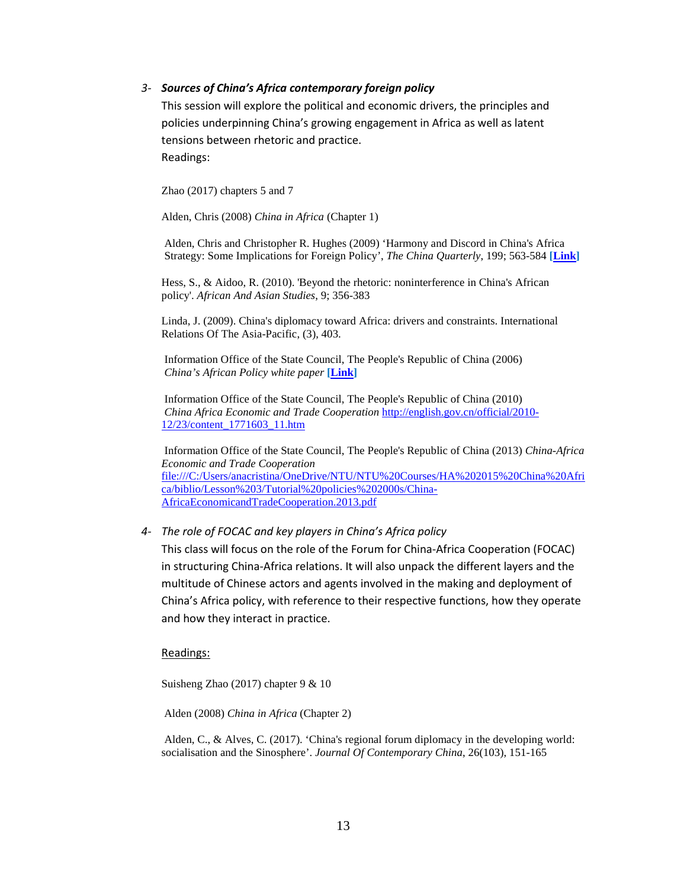#### *3- Sources of China's Africa contemporary foreign policy*

This session will explore the political and economic drivers, the principles and policies underpinning China's growing engagement in Africa as well as latent tensions between rhetoric and practice. Readings:

Zhao (2017) chapters 5 and 7

Alden, Chris (2008) *China in Africa* (Chapter 1)

Alden, Chris and Christopher R. Hughes (2009) 'Harmony and Discord in China's Africa Strategy: Some Implications for Foreign Policy', *The China Quarterly*, 199; 563-584 **[\[Link\]](http://www.jstor.org.ezlibproxy1.ntu.edu.sg/stable/27756491)**

Hess, S., & Aidoo, R. (2010). 'Beyond the rhetoric: noninterference in China's African policy'. *African And Asian Studies*, 9; 356-383

Linda, J. (2009). China's diplomacy toward Africa: drivers and constraints. International Relations Of The Asia-Pacific, (3), 403.

Information Office of the State Council, The People's Republic of China (2006) *China's African Policy white paper* **[\[Link\]](http://english.peopledaily.com.cn/200601/12/eng20060112_234894.html)** 

Information Office of the State Council, The People's Republic of China (2010) *China Africa Economic and Trade Cooperation* [http://english.gov.cn/official/2010-](http://english.gov.cn/official/2010-12/23/content_1771603_11.htm) [12/23/content\\_1771603\\_11.htm](http://english.gov.cn/official/2010-12/23/content_1771603_11.htm)

Information Office of the State Council, The People's Republic of China (2013) *China-Africa Economic and Trade Cooperation* file:///C:/Users/anacristina/OneDrive/NTU/NTU%20Courses/HA%202015%20China%20Afri ca/biblio/Lesson%203/Tutorial%20policies%202000s/China-AfricaEconomicandTradeCooperation.2013.pdf

#### *4- The role of FOCAC and key players in China's Africa policy*

This class will focus on the role of the Forum for China-Africa Cooperation (FOCAC) in structuring China-Africa relations. It will also unpack the different layers and the multitude of Chinese actors and agents involved in the making and deployment of China's Africa policy, with reference to their respective functions, how they operate and how they interact in practice.

#### Readings:

Suisheng Zhao (2017) chapter 9 & 10

Alden (2008) *China in Africa* (Chapter 2)

Alden, C., & Alves, C. (2017). 'China's regional forum diplomacy in the developing world: socialisation and the Sinosphere'. *Journal Of Contemporary China*, 26(103), 151-165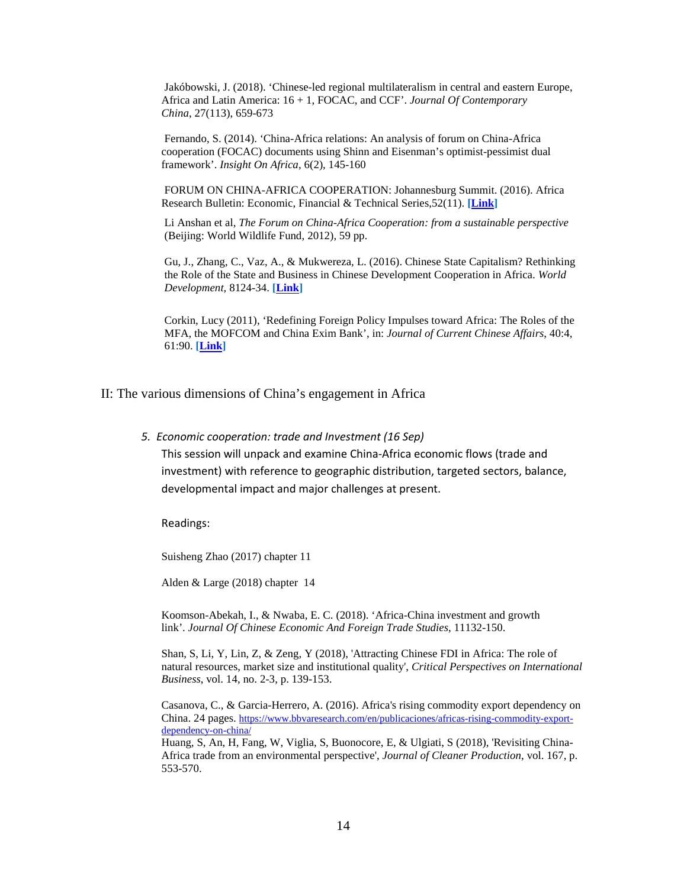Jakóbowski, J. (2018). 'Chinese-led regional multilateralism in central and eastern Europe, Africa and Latin America: 16 + 1, FOCAC, and CCF'. *Journal Of Contemporary China*, 27(113), 659-673

Fernando, S. (2014). 'China-Africa relations: An analysis of forum on China-Africa cooperation (FOCAC) documents using Shinn and Eisenman's optimist-pessimist dual framework'. *Insight On Africa*, 6(2), 145-160

FORUM ON CHINA-AFRICA COOPERATION: Johannesburg Summit. (2016). Africa Research Bulletin: Economic, Financial & Technical Series,52(11). **[\[Link\]](http://ezlibproxy1.ntu.edu.sg/login?url=https://dx.doi.org/10.1111/j.1467-6346.2015.06763.x)**

Li Anshan et al, *The Forum on China-Africa Cooperation: from a sustainable perspective* (Beijing: World Wildlife Fund, 2012), 59 pp.

Gu, J., Zhang, C., Vaz, A., & Mukwereza, L. (2016). Chinese State Capitalism? Rethinking the Role of the State and Business in Chinese Development Cooperation in Africa. *World Development*, 8124-34. **[\[Link\]](http://ezlibproxy1.ntu.edu.sg/login?url=https://dx.doi.org/10.1016/j.worlddev.2016.01.001)**

Corkin, Lucy (2011), 'Redefining Foreign Policy Impulses toward Africa: The Roles of the MFA, the MOFCOM and China Exim Bank', in: *Journal of Current Chinese Affairs*, 40:4, 61:90. **[\[Link\]](http://journals.sub.uni-hamburg.de/giga/jcca/article/view/480)** 

II: The various dimensions of China's engagement in Africa

*5. Economic cooperation: trade and Investment (16 Sep)* This session will unpack and examine China-Africa economic flows (trade and investment) with reference to geographic distribution, targeted sectors, balance, developmental impact and major challenges at present.

Readings:

Suisheng Zhao (2017) chapter 11

Alden & Large (2018) chapter 14

Koomson-Abekah, I., & Nwaba, E. C. (2018). 'Africa-China investment and growth link'. *Journal Of Chinese Economic And Foreign Trade Studies*, 11132-150.

Shan, S, Li, Y, Lin, Z, & Zeng, Y (2018), 'Attracting Chinese FDI in Africa: The role of natural resources, market size and institutional quality', *Critical Perspectives on International Business*, vol. 14, no. 2-3, p. 139-153.

Casanova, C., & Garcia-Herrero, A. (2016). Africa's rising commodity export dependency on China. 24 pages. [https://www.bbvaresearch.com/en/publicaciones/africas-rising-commodity-export](https://www.bbvaresearch.com/en/publicaciones/africas-rising-commodity-export-dependency-on-china/)[dependency-on-china/](https://www.bbvaresearch.com/en/publicaciones/africas-rising-commodity-export-dependency-on-china/)

Huang, S, An, H, Fang, W, Viglia, S, Buonocore, E, & Ulgiati, S (2018), 'Revisiting China-Africa trade from an environmental perspective', *Journal of Cleaner Production*, vol. 167, p. 553-570.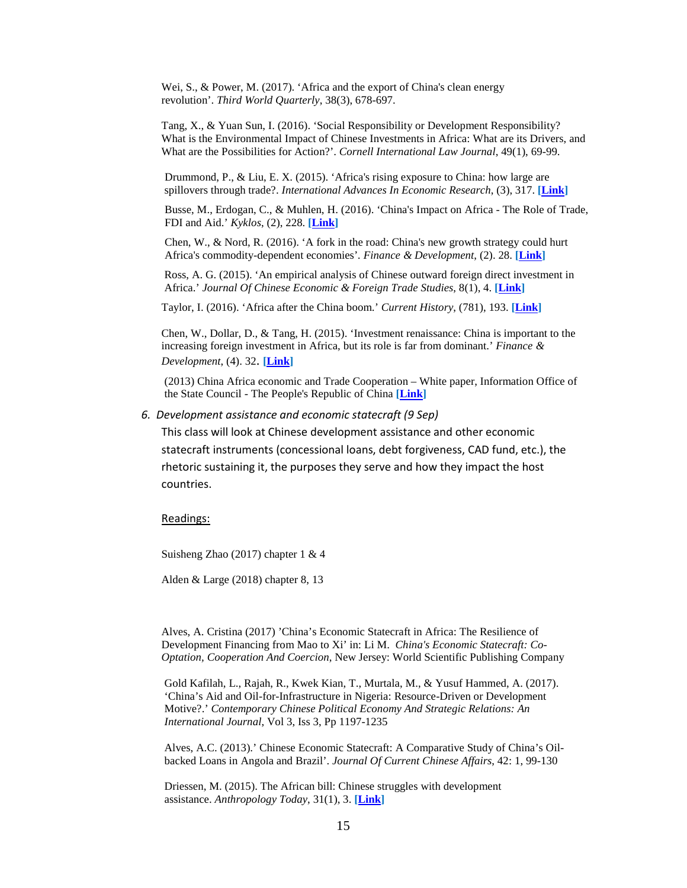Wei, S., & Power, M. (2017). 'Africa and the export of China's clean energy revolution'. *Third World Quarterly*, 38(3), 678-697.

Tang, X., & Yuan Sun, I. (2016). 'Social Responsibility or Development Responsibility? What is the Environmental Impact of Chinese Investments in Africa: What are its Drivers, and What are the Possibilities for Action?'. *Cornell International Law Journal*, 49(1), 69-99.

Drummond, P., & Liu, E. X. (2015). 'Africa's rising exposure to China: how large are spillovers through trade?. *International Advances In Economic Research*, (3), 317. **[\[Link\]](http://ezlibproxy1.ntu.edu.sg/login?url=https://dx.doi.org/10.1007/s11294-015-9537-9)**

Busse, M., Erdogan, C., & Muhlen, H. (2016). 'China's Impact on Africa - The Role of Trade, FDI and Aid.' *Kyklos*, (2), 228. **[\[Link\]](http://ezlibproxy1.ntu.edu.sg/login?url=https://dx.doi.org/10.1111/kykl.12110)**

Chen, W., & Nord, R. (2016). 'A fork in the road: China's new growth strategy could hurt Africa's commodity-dependent economies'*. Finance & Development*, (2). 28. **[\[Link\]](http://search.ebscohost.com.ezlibproxy1.ntu.edu.sg/login.aspx?direct=true&db=eoh&AN=EP116300479&site=ehost-live)**

Ross, A. G. (2015). 'An empirical analysis of Chinese outward foreign direct investment in Africa.' *Journal Of Chinese Economic & Foreign Trade Studies*, 8(1), 4. **[\[Link\]](http://dx.doi.org.ezlibproxy1.ntu.edu.sg/10.1108/JCEFTS-12-2014-0025)**

Taylor, I. (2016). 'Africa after the China boom.' *Current History*, (781), 193. **[\[Link\]](http://search.proquest.com.ezlibproxy1.ntu.edu.sg/docview/1786078940?accountid=12665)**

Chen, W., Dollar, D., & Tang, H. (2015). 'Investment renaissance: China is important to the increasing foreign investment in Africa, but its role is far from dominant.' *Finance & Development*, (4). 32. **[\[Link\]](http://search.ebscohost.com.ezlibproxy1.ntu.edu.sg/login.aspx?direct=true&db=eoh&AN=1560429&site=ehost-live)**

(2013) China Africa economic and Trade Cooperation – White paper, Information Office of the State Council - The People's Republic of China **[\[Link\]](http://www.safpi.org/sites/default/files/publications/China-AfricaEconomicandTradeCooperation.pdf)** 

#### *6. Development assistance and economic statecraft (9 Sep)*

This class will look at Chinese development assistance and other economic statecraft instruments (concessional loans, debt forgiveness, CAD fund, etc.), the rhetoric sustaining it, the purposes they serve and how they impact the host countries.

Readings:

Suisheng Zhao (2017) chapter 1 & 4

Alden & Large (2018) chapter 8, 13

Alves, A. Cristina (2017) 'China's Economic Statecraft in Africa: The Resilience of Development Financing from Mao to Xi' in: Li M. *China's Economic Statecraft: Co-Optation, Cooperation And Coercion*, New Jersey: World Scientific Publishing Company

Gold Kafilah, L., Rajah, R., Kwek Kian, T., Murtala, M., & Yusuf Hammed, A. (2017). 'China's Aid and Oil-for-Infrastructure in Nigeria: Resource-Driven or Development Motive?.' *Contemporary Chinese Political Economy And Strategic Relations: An International Journal*, Vol 3, Iss 3, Pp 1197-1235

Alves, A.C. (2013).' Chinese Economic Statecraft: A Comparative Study of China's Oilbacked Loans in Angola and Brazil'. *Journal Of Current Chinese Affairs*, 42: 1, 99-130

Driessen, M. (2015). The African bill: Chinese struggles with development assistance. *Anthropology Today*, 31(1), 3. **[\[Link\]](http://ezlibproxy1.ntu.edu.sg/login?url=https://dx.doi.org/10.1111/1467-8322.12151)**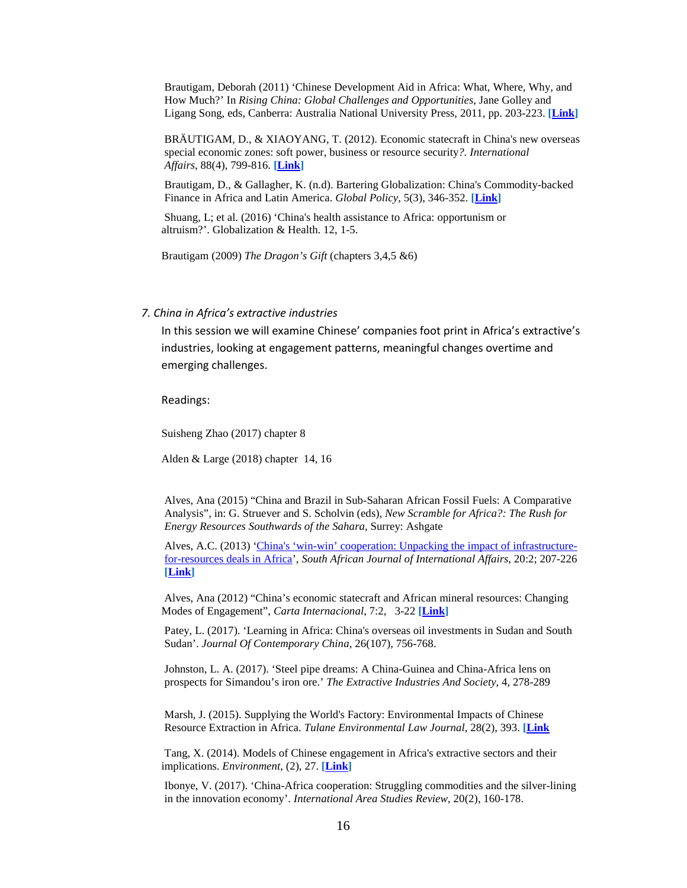Brautigam, Deborah (2011) 'Chinese [Development](http://www.american.edu/sis/faculty/upload/Brautigam-Chinese-Aid-in-Africa.pdf) Aid in Africa: What, Where, Why, and How Much?' In *Rising China: Global Challenges and [Opportunities](http://www.american.edu/sis/faculty/upload/Brautigam-Chinese-Aid-in-Africa.pdf)*, Jane Golley and Ligang Song, eds, Canberra: Australia National [University](http://www.american.edu/sis/faculty/upload/Brautigam-Chinese-Aid-in-Africa.pdf) Press, 2011, pp. 203-223. **[\[Link\]](http://www.american.edu/sis/faculty/upload/Brautigam-Chinese-Aid-in-Africa.pdf)** 

BRÄUTIGAM, D., & XIAOYANG, T. (2012). Economic statecraft in China's new overseas special economic zones: soft power, business or resource security*?. International Affairs*, 88(4), 799-816. **[\[Link\]](http://ezlibproxy1.ntu.edu.sg/login?url=https://dx.doi.org/10.1111/j.1468-2346.2012.01102.x)**

Brautigam, D., & Gallagher, K. (n.d). Bartering Globalization: China's Commodity-backed Finance in Africa and Latin America. *Global Policy*, 5(3), 346-352. **[\[Link\]](http://ezlibproxy1.ntu.edu.sg/login?url=https://dx.doi.org/10.1111/1758-5899.12138)**

Shuang, L; et al. (2016) 'China's health assistance to Africa: opportunism or altruism?'. Globalization & Health. 12, 1-5.

Brautigam (2009) *The Dragon's Gift* (chapters 3,4,5 &6)

#### *7. China in Africa's extractive industries*

In this session we will examine Chinese' companies foot print in Africa's extractive's industries, looking at engagement patterns, meaningful changes overtime and emerging challenges.

Readings:

Suisheng Zhao (2017) chapter 8

Alden & Large (2018) chapter 14, 16

Alves, Ana (2015) "China and Brazil in Sub-Saharan African Fossil Fuels: A Comparative Analysis", in: G. Struever and S. Scholvin (eds), *New Scramble for Africa?: The Rush for Energy Resources Southwards of the Sahara*, Surrey: Ashgate

Alves, A.C. (2013) ['China's 'win-win' cooperation: Unpacking the impact of infrastructure](http://www.saiia.org.za/expertise/ana-cristina-alves#.UePVLdJTCSo)[for-resources deals in Africa'](http://www.saiia.org.za/expertise/ana-cristina-alves#.UePVLdJTCSo), *South African Journal of International Affairs*, 20:2; 207-226 **[\[Link\]](http://ezlibproxy1.ntu.edu.sg/login?url=https://dx.doi.org/10.1080/10220461.2013.811337)**

Alves, Ana (2012) ["China's economic statecraft and African mineral resources: Changing](http://www.cartainternacional.abri.org.br/index.php/Carta/article/view/56)  [Modes of Engagement",](http://www.cartainternacional.abri.org.br/index.php/Carta/article/view/56) *Carta Internacional*, 7:2, 3-22 **[Link]** 

Patey, L. (2017). 'Learning in Africa: China's overseas oil investments in Sudan and South Sudan'. *Journal Of Contemporary China*, 26(107), 756-768.

Johnston, L. A. (2017). 'Steel pipe dreams: A China-Guinea and China-Africa lens on prospects for Simandou's iron ore.' *The Extractive Industries And Society*, 4, 278-289

Marsh, J. (2015). Supplying the World's Factory: Environmental Impacts of Chinese Resource Extraction in Africa. *Tulane Environmental Law Journal*, 28(2), 393. **[\[Link](http://heinonline.org.ezlibproxy1.ntu.edu.sg/HOL/Page?handle=hein.journals/tulev28&collection=journals&id=419)**

Tang, X. (2014). Models of Chinese engagement in Africa's extractive sectors and their implications. *Environment*, (2), 27. **[\[Link\]](http://dx.doi.org.ezlibproxy1.ntu.edu.sg/10.1080/00139157.2014.881694)**

Ibonye, V. (2017). 'China-Africa cooperation: Struggling commodities and the silver-lining in the innovation economy'. *International Area Studies Review*, 20(2), 160-178.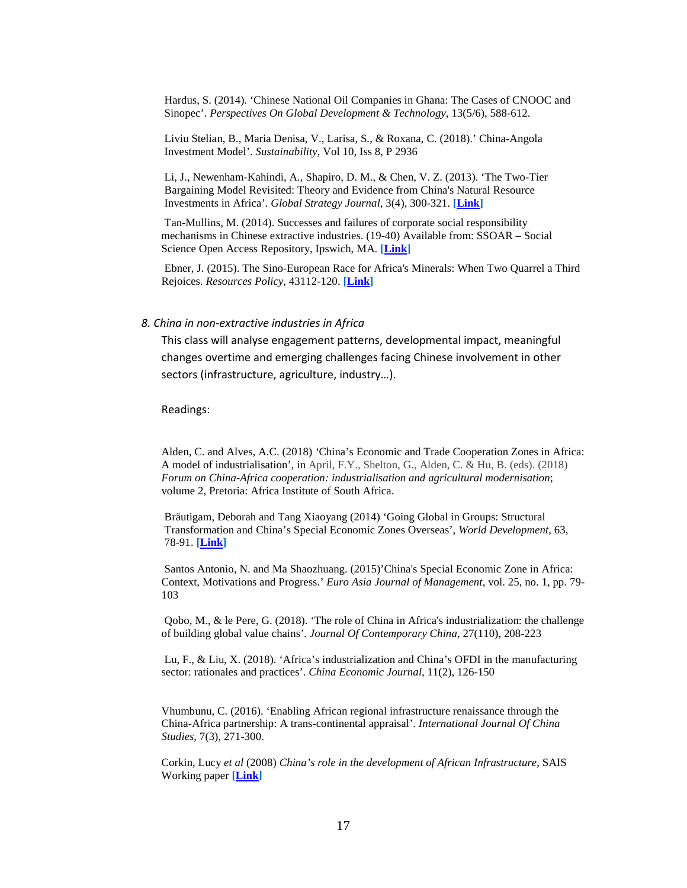Hardus, S. (2014). 'Chinese National Oil Companies in Ghana: The Cases of CNOOC and Sinopec'. *Perspectives On Global Development & Technology*, 13(5/6), 588-612.

Liviu Stelian, B., Maria Denisa, V., Larisa, S., & Roxana, C. (2018).' China-Angola Investment Model'. *Sustainability*, Vol 10, Iss 8, P 2936

Li, J., Newenham-Kahindi, A., Shapiro, D. M., & Chen, V. Z. (2013). 'The Two-Tier Bargaining Model Revisited: Theory and Evidence from China's Natural Resource Investments in Africa'. *Global Strategy Journal*, 3(4), 300-321. **[\[Link\]](http://dx.doi.org.ezlibproxy1.ntu.edu.sg/10.1111/j.2042-5805.2013.01062.x)**

Tan-Mullins, M. (2014). Successes and failures of corporate social responsibility mechanisms in Chinese extractive industries. (19-40) Available from: SSOAR – Social Science Open Access Repository, Ipswich, MA. **[\[Link\]](http://nbn-resolving.de/urn:nbn:de:gbv:18-4-7980)**

Ebner, J. (2015). The Sino-European Race for Africa's Minerals: When Two Quarrel a Third Rejoices. *Resources Policy*, 43112-120. **[\[Link\]](http://ezlibproxy1.ntu.edu.sg/login?url=https://dx.doi.org/10.1016/j.resourpol.2014.11.009)**

#### *8. China in non-extractive industries in Africa*

This class will analyse engagement patterns, developmental impact, meaningful changes overtime and emerging challenges facing Chinese involvement in other sectors (infrastructure, agriculture, industry…).

Readings:

Alden, C. and Alves, A.C. (2018) *'*China's Economic and Trade Cooperation Zones in Africa: A model of industrialisation'*,* in April, F.Y., Shelton, G., Alden, C. & Hu, B. (eds). (2018) *Forum on China-Africa cooperation: industrialisation and agricultural modernisation*; volume 2, Pretoria: Africa Institute of South Africa.

Bräutigam, Deborah and Tang Xiaoyang (2014) 'Going Global in Groups: Structural Transformation and China's Special Economic Zones Overseas', *World Development*, 63, 78-91. **[\[Link\]](http://ezlibproxy1.ntu.edu.sg/login?url=https://www.sciencedirect.com/science/article/pii/S0305750X13002222)**

Santos Antonio, N. and Ma Shaozhuang. (2015)'China's Special Economic Zone in Africa: Context, Motivations and Progress.' *Euro Asia Journal of Management*, vol. 25, no. 1, pp. 79- 103

Qobo, M., & le Pere, G. (2018). 'The role of China in Africa's industrialization: the challenge of building global value chains'. *Journal Of Contemporary China*, 27(110), 208-223

Lu, F., & Liu, X. (2018). 'Africa's industrialization and China's OFDI in the manufacturing sector: rationales and practices'. *China Economic Journal*, 11(2), 126-150

Vhumbunu, C. (2016). 'Enabling African regional infrastructure renaissance through the China-Africa partnership: A trans-continental appraisal'. *International Journal Of China Studies*, 7(3), 271-300.

Corkin, Lucy *et al* (2008) *China's role in the development of African Infrastructure*, SAIS Working paper **[\[Link\]](http://www.sais-jhu.edu/sites/default/files/China)**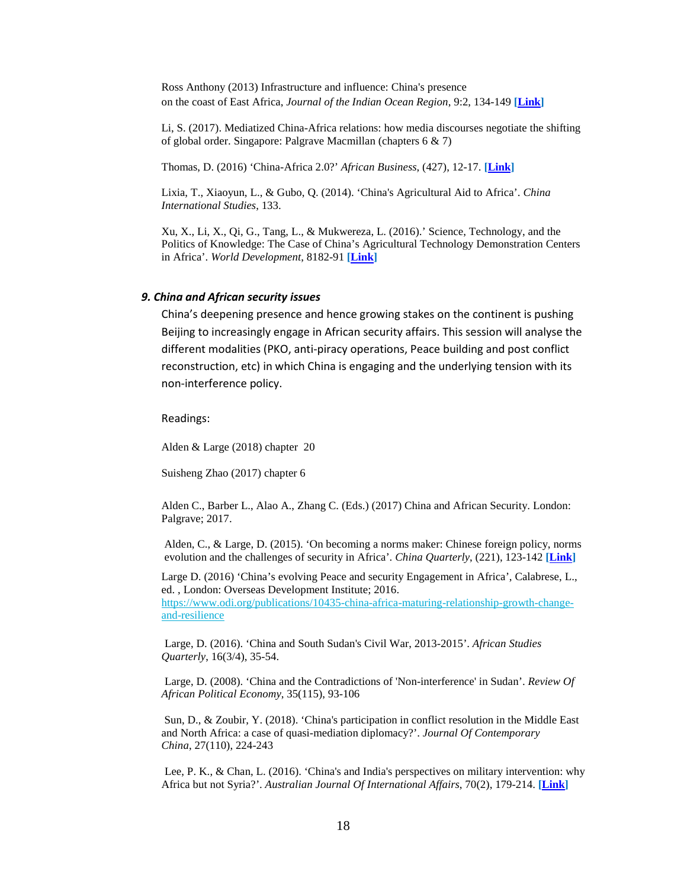Ross Anthony (2013) Infrastructure and influence: China's presence on the coast of East Africa, *Journal of the Indian Ocean Region*, 9:2, 134-149 **[\[Link\]](http://ezlibproxy1.ntu.edu.sg/login?url=https://dx.doi.org/10.1080/19480881.2013.847553)**

Li, S. (2017). Mediatized China-Africa relations: how media discourses negotiate the shifting of global order. Singapore: Palgrave Macmillan (chapters 6 & 7)

Thomas, D. (2016) 'China-Africa 2.0?' *African Business*, (427), 12-17. **[\[Link\]](http://search.ebscohost.com.ezlibproxy1.ntu.edu.sg/login.aspx?direct=true&db=buh&AN=113338800&site=ehost-live)**

Lixia, T., Xiaoyun, L., & Gubo, Q. (2014). 'China's Agricultural Aid to Africa'. *China International Studies*, 133.

Xu, X., Li, X., Qi, G., Tang, L., & Mukwereza, L. (2016).' Science, Technology, and the Politics of Knowledge: The Case of China's Agricultural Technology Demonstration Centers in Africa'. *World Development*, 8182-91 **[\[Link\]](http://ezlibproxy1.ntu.edu.sg/login?url=https://dx.doi.org/10.1016/j.worlddev.2016.01.003)**

#### *9. China and African security issues*

China's deepening presence and hence growing stakes on the continent is pushing Beijing to increasingly engage in African security affairs. This session will analyse the different modalities (PKO, anti-piracy operations, Peace building and post conflict reconstruction, etc) in which China is engaging and the underlying tension with its non-interference policy.

Readings:

Alden & Large (2018) chapter 20

Suisheng Zhao (2017) chapter 6

Alden C., Barber L., Alao A., Zhang C. (Eds.) (2017) China and African Security. London: Palgrave; 2017.

Alden, C., & Large, D. (2015). 'On becoming a norms maker: Chinese foreign policy, norms evolution and the challenges of security in Africa'. *China Quarterly*, (221), 123-142 **[\[Link\]](http://dx.doi.org.ezlibproxy1.ntu.edu.sg/10.1017/S0305741015000028)**

Large D. (2016) 'China's evolving Peace and security Engagement in Africa', Calabrese, L., ed. , London: Overseas Development Institute; 2016. [https://www.odi.org/publications/10435-china-africa-maturing-relationship-growth-change](https://www.odi.org/publications/10435-china-africa-maturing-relationship-growth-change-and-resilience)[and-resilience](https://www.odi.org/publications/10435-china-africa-maturing-relationship-growth-change-and-resilience)

Large, D. (2016). 'China and South Sudan's Civil War, 2013-2015'. *African Studies Quarterly*, 16(3/4), 35-54.

Large, D. (2008). 'China and the Contradictions of 'Non-interference' in Sudan'. *Review Of African Political Economy*, 35(115), 93-106

Sun, D., & Zoubir, Y. (2018). 'China's participation in conflict resolution in the Middle East and North Africa: a case of quasi-mediation diplomacy?'. *Journal Of Contemporary China*, 27(110), 224-243

Lee, P. K., & Chan, L. (2016). 'China's and India's perspectives on military intervention: why Africa but not Syria?'. *Australian Journal Of International Affairs*, 70(2), 179-214. **[\[Link\]](http://ezlibproxy1.ntu.edu.sg/login?url=https://dx.doi.org/10.1080/10357718.2015.1121968)**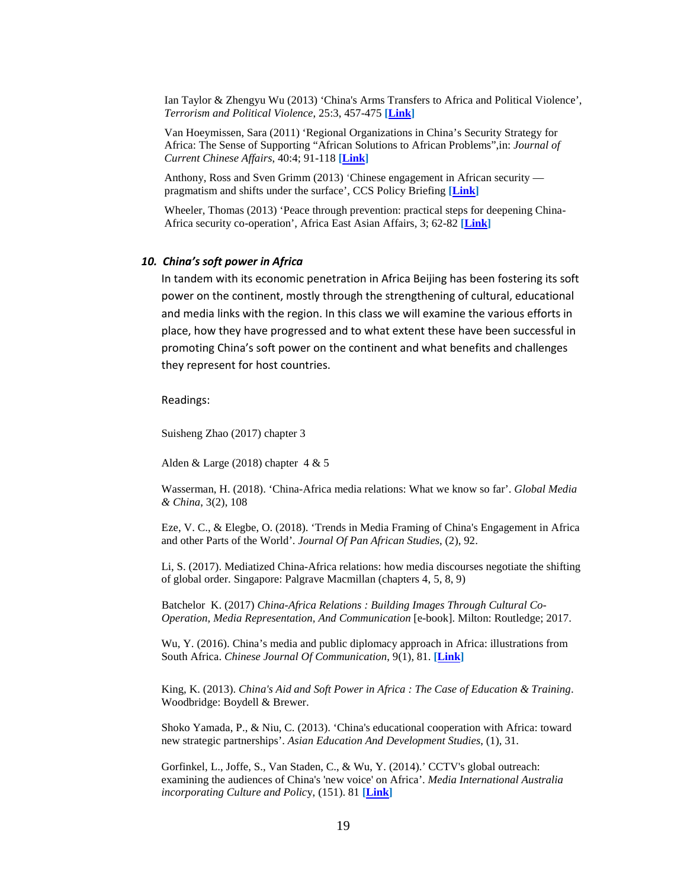Ian Taylor & Zhengyu Wu (2013) 'China's Arms Transfers to Africa and Political Violence', *Terrorism and Political Violence*, 25:3, 457-475 **[\[Link\]](http://ezlibproxy1.ntu.edu.sg/login?url=https://dx.doi.org/10.1080/09546553.2012.664588)**

Van Hoeymissen, Sara (2011) 'Regional Organizations in China's Security Strategy for Africa: The Sense of Supporting "African Solutions to African Problems",in: *Journal of Current Chinese Affairs*, 40:4; 91-118 **[\[Link\]](http://journals.sub.uni-hamburg.de/giga/jcca/article/view/481/479)**

Anthony, Ross and Sven Grimm (2013) 'Chinese engagement in African security pragmatism and shifts under the surface', CCS Policy Briefing **[\[Link\]](http://www.ccs.org.za/wp-content/uploads/2013/09/Security-policy-brief_RASG.pdf)** 

Wheeler, Thomas (2013) 'Peace through prevention: practical steps for deepening China-Africa security co-operation', Africa East Asian Affairs, 3; 62-82 **[\[Link\]](http://aeaa.journals.ac.za/pub/article/view/111)** 

#### *10. China's soft power in Africa*

In tandem with its economic penetration in Africa Beijing has been fostering its soft power on the continent, mostly through the strengthening of cultural, educational and media links with the region. In this class we will examine the various efforts in place, how they have progressed and to what extent these have been successful in promoting China's soft power on the continent and what benefits and challenges they represent for host countries.

Readings:

Suisheng Zhao (2017) chapter 3

Alden & Large (2018) chapter 4 & 5

Wasserman, H. (2018). 'China-Africa media relations: What we know so far'. *Global Media & China*, 3(2), 108

Eze, V. C., & Elegbe, O. (2018). 'Trends in Media Framing of China's Engagement in Africa and other Parts of the World'. *Journal Of Pan African Studies*, (2), 92.

Li, S. (2017). Mediatized China-Africa relations: how media discourses negotiate the shifting of global order. Singapore: Palgrave Macmillan (chapters 4, 5, 8, 9)

Batchelor K. (2017) *China-Africa Relations : Building Images Through Cultural Co-Operation, Media Representation, And Communication* [e-book]. Milton: Routledge; 2017.

Wu, Y. (2016). China's media and public diplomacy approach in Africa: illustrations from South Africa. *Chinese Journal Of Communication*, 9(1), 81. **[\[Link\]](http://ezlibproxy1.ntu.edu.sg/login?url=https://dx.doi.org/10.1080/17544750.2016.1139606)**

King, K. (2013). *China's Aid and Soft Power in Africa : The Case of Education & Training*. Woodbridge: Boydell & Brewer.

Shoko Yamada, P., & Niu, C. (2013). 'China's educational cooperation with Africa: toward new strategic partnerships'. *Asian Education And Development Studies*, (1), 31.

Gorfinkel, L., Joffe, S., Van Staden, C., & Wu, Y. (2014).' CCTV's global outreach: examining the audiences of China's 'new voice' on Africa'. *Media International Australia incorporating Culture and Polic*y, (151). 81 **[\[Link\]](http://search.ebscohost.com.ezlibproxy1.ntu.edu.sg/login.aspx?direct=true&db=ufh&AN=97081702&site=ehost-live)**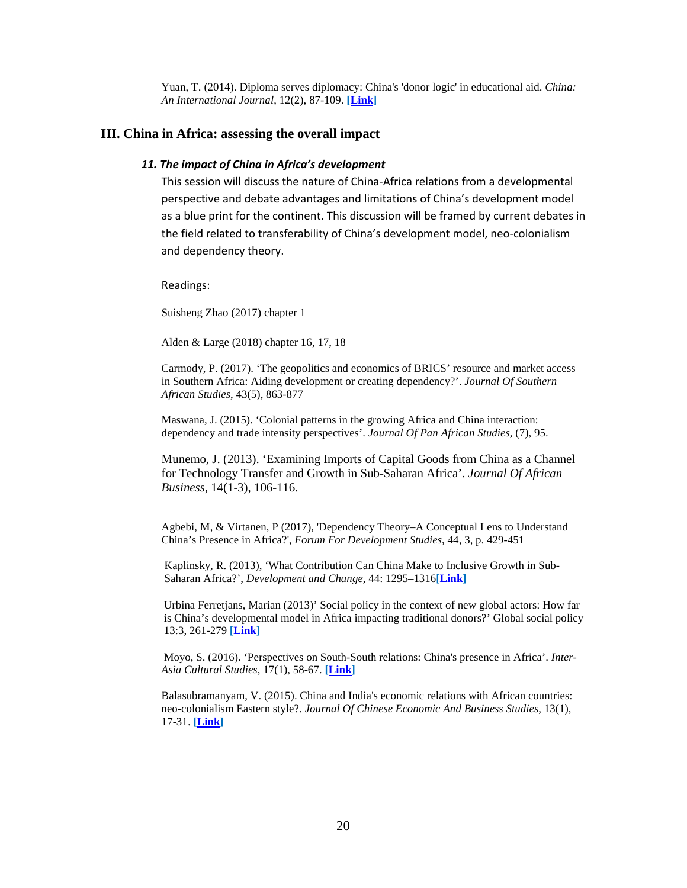Yuan, T. (2014). Diploma serves diplomacy: China's 'donor logic' in educational aid. *China: An International Journal*, 12(2), 87-109. **[\[Link\]](https://muse-jhu-edu.ezlibproxy1.ntu.edu.sg/article/553150)**

#### **III. China in Africa: assessing the overall impact**

#### *11. The impact of China in Africa's development*

This session will discuss the nature of China-Africa relations from a developmental perspective and debate advantages and limitations of China's development model as a blue print for the continent. This discussion will be framed by current debates in the field related to transferability of China's development model, neo-colonialism and dependency theory.

Readings:

Suisheng Zhao (2017) chapter 1

Alden & Large (2018) chapter 16, 17, 18

Carmody, P. (2017). 'The geopolitics and economics of BRICS' resource and market access in Southern Africa: Aiding development or creating dependency?'. *Journal Of Southern African Studies*, 43(5), 863-877

Maswana, J. (2015). 'Colonial patterns in the growing Africa and China interaction: dependency and trade intensity perspectives'. *Journal Of Pan African Studies*, (7), 95.

Munemo, J. (2013). 'Examining Imports of Capital Goods from China as a Channel for Technology Transfer and Growth in Sub-Saharan Africa'. *Journal Of African Business*, 14(1-3), 106-116.

Agbebi, M, & Virtanen, P (2017), 'Dependency Theory–A Conceptual Lens to Understand China's Presence in Africa?', *Forum For Development Studies*, 44, 3, p. 429-451

Kaplinsky, R. (2013), 'What Contribution Can China Make to Inclusive Growth in Sub-Saharan Africa?', *Development and Change*, 44: 1295–1316**[\[Link\]](http://ezlibproxy1.ntu.edu.sg/login?url=https://dx.doi.org/10.1111/dech.12059)**

Urbina Ferretjans, Marian (2013)' Social policy in the context of new global actors: How far is China's developmental model in Africa impacting traditional donors?' Global social policy 13:3, 261-279 **[\[Link\]](http://ezlibproxy1.ntu.edu.sg/login?url=https://dx.doi.org/10.1177/1468018113505021)**

Moyo, S. (2016). 'Perspectives on South-South relations: China's presence in Africa'. *Inter-Asia Cultural Studies*, 17(1), 58-67. **[\[Link\]](http://ezlibproxy1.ntu.edu.sg/login?url=https://dx.doi.org/10.1080/14649373.2016.1138615)**

Balasubramanyam, V. (2015). China and India's economic relations with African countries: neo-colonialism Eastern style?. *Journal Of Chinese Economic And Business Studies*, 13(1), 17-31. **[\[Link\]](http://ezlibproxy1.ntu.edu.sg/login?url=https://dx.doi.org/10.1080/14765284.2014.994844)**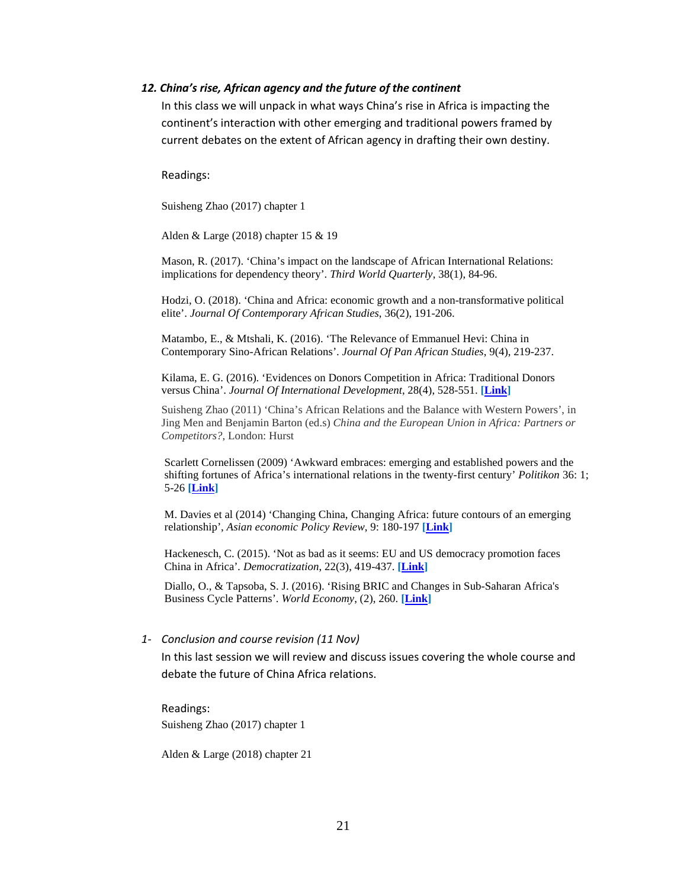#### *12. China's rise, African agency and the future of the continent*

In this class we will unpack in what ways China's rise in Africa is impacting the continent's interaction with other emerging and traditional powers framed by current debates on the extent of African agency in drafting their own destiny.

Readings:

Suisheng Zhao (2017) chapter 1

Alden & Large (2018) chapter 15 & 19

Mason, R. (2017). 'China's impact on the landscape of African International Relations: implications for dependency theory'. *Third World Quarterly*, 38(1), 84-96.

Hodzi, O. (2018). 'China and Africa: economic growth and a non-transformative political elite'. *Journal Of Contemporary African Studies*, 36(2), 191-206.

Matambo, E., & Mtshali, K. (2016). 'The Relevance of Emmanuel Hevi: China in Contemporary Sino-African Relations'. *Journal Of Pan African Studies*, 9(4), 219-237.

Kilama, E. G. (2016). 'Evidences on Donors Competition in Africa: Traditional Donors versus China'. *Journal Of International Development*, 28(4), 528-551. **[\[Link\]](http://ezlibproxy1.ntu.edu.sg/login?url=https://dx.doi.org/10.1002/jid.3198)**

Suisheng Zhao (2011) 'China's African Relations and the Balance with Western Powers', in Jing Men and Benjamin Barton (ed.s) *China and the European Union in Africa: Partners or Competitors?*, London: Hurst

Scarlett Cornelissen (2009) 'Awkward embraces: emerging and established powers and the shifting fortunes of Africa's international relations in the twenty-first century' *Politikon* 36: 1; 5-26 **[\[Link\]](http://ezlibproxy1.ntu.edu.sg/login?url=https://www.tandfonline.com/doi/abs/10.1080/02589340903155377#.Ux27fj_a6So)** 

M. Davies et al (2014) 'Changing China, Changing Africa: future contours of an emerging relationship', *Asian economic Policy Review*, 9: 180-197 **[\[Link\]](http://ezlibproxy1.ntu.edu.sg/login?url=https://dx.doi.org/10.1111/aepr.12059)**

Hackenesch, C. (2015). 'Not as bad as it seems: EU and US democracy promotion faces China in Africa'*. Democratization*, 22(3), 419-437. **[\[Link\]](http://ezlibproxy1.ntu.edu.sg/login?url=https://dx.doi.org/10.1080/13510347.2014.1002476)**

Diallo, O., & Tapsoba, S. J. (2016). 'Rising BRIC and Changes in Sub-Saharan Africa's Business Cycle Patterns'. *World Economy*, (2), 260. **[\[Link\]](http://ezlibproxy1.ntu.edu.sg/login?url=https://dx.doi.org/10.1111/twec.12273)**

#### *1- Conclusion and course revision (11 Nov)*

In this last session we will review and discuss issues covering the whole course and debate the future of China Africa relations.

Readings: Suisheng Zhao (2017) chapter 1

Alden & Large (2018) chapter 21